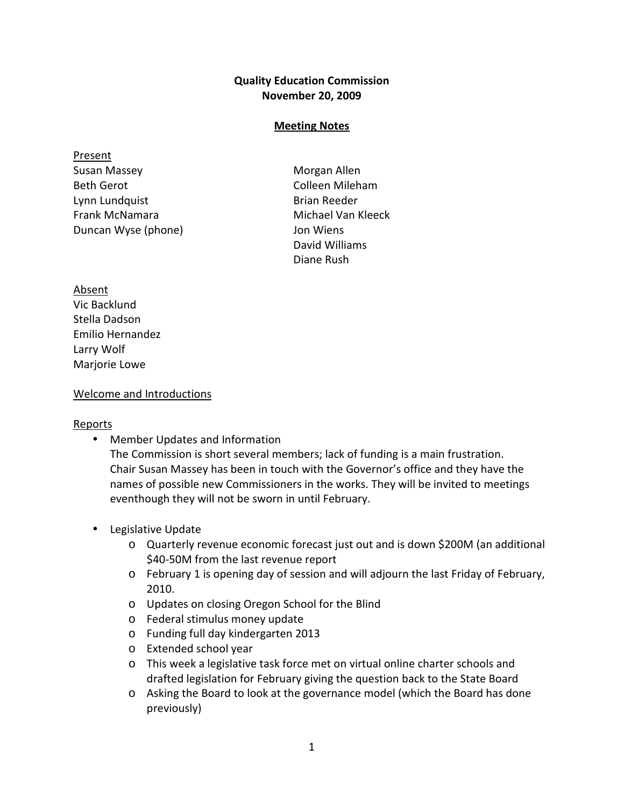## Quality Education Commission November 20, 2009

## Meeting Notes

**Present** Susan Massey **Morgan Allen** Beth Gerot **Colleen Mileham** Lynn Lundquist **Brian Reeder** Frank McNamara Michael Van Kleeck Duncan Wyse (phone) Jon Wiens

David Williams Diane Rush

Absent Vic Backlund Stella Dadson Emilio Hernandez Larry Wolf Marjorie Lowe

## Welcome and Introductions

## Reports

• Member Updates and Information

The Commission is short several members; lack of funding is a main frustration. Chair Susan Massey has been in touch with the Governor's office and they have the names of possible new Commissioners in the works. They will be invited to meetings eventhough they will not be sworn in until February.

- Legislative Update
	- o Quarterly revenue economic forecast just out and is down \$200M (an additional \$40-50M from the last revenue report
	- o February 1 is opening day of session and will adjourn the last Friday of February, 2010.
	- o Updates on closing Oregon School for the Blind
	- o Federal stimulus money update
	- o Funding full day kindergarten 2013
	- o Extended school year
	- o This week a legislative task force met on virtual online charter schools and drafted legislation for February giving the question back to the State Board
	- o Asking the Board to look at the governance model (which the Board has done previously)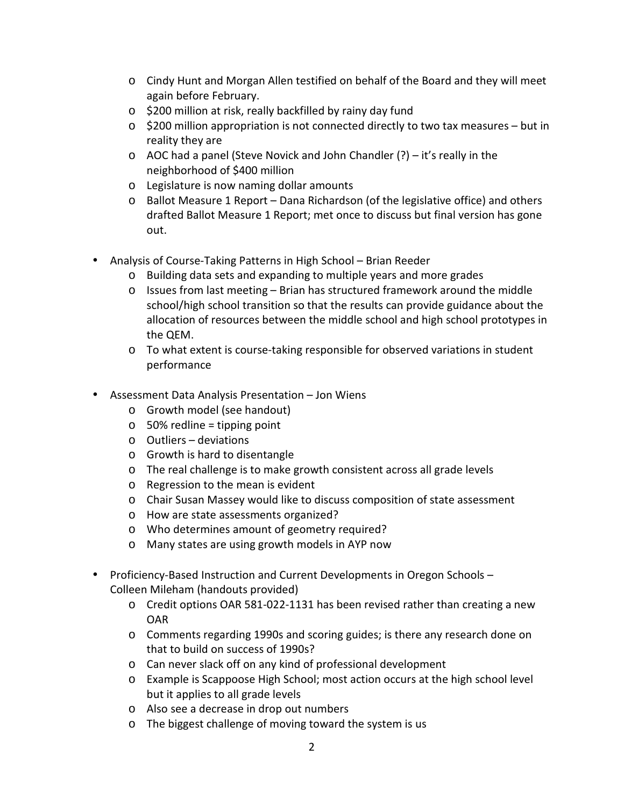- o Cindy Hunt and Morgan Allen testified on behalf of the Board and they will meet again before February.
- o \$200 million at risk, really backfilled by rainy day fund
- $\circ$  \$200 million appropriation is not connected directly to two tax measures but in reality they are
- o AOC had a panel (Steve Novick and John Chandler (?) it's really in the neighborhood of \$400 million
- o Legislature is now naming dollar amounts
- o Ballot Measure 1 Report Dana Richardson (of the legislative office) and others drafted Ballot Measure 1 Report; met once to discuss but final version has gone out.
- Analysis of Course-Taking Patterns in High School Brian Reeder
	- o Building data sets and expanding to multiple years and more grades
	- $\circ$  Issues from last meeting Brian has structured framework around the middle school/high school transition so that the results can provide guidance about the allocation of resources between the middle school and high school prototypes in the QEM.
	- o To what extent is course-taking responsible for observed variations in student performance
- Assessment Data Analysis Presentation Jon Wiens
	- o Growth model (see handout)
	- o 50% redline = tipping point
	- o Outliers deviations
	- o Growth is hard to disentangle
	- o The real challenge is to make growth consistent across all grade levels
	- o Regression to the mean is evident
	- o Chair Susan Massey would like to discuss composition of state assessment
	- o How are state assessments organized?
	- o Who determines amount of geometry required?
	- o Many states are using growth models in AYP now
- Proficiency-Based Instruction and Current Developments in Oregon Schools Colleen Mileham (handouts provided)
	- o Credit options OAR 581-022-1131 has been revised rather than creating a new OAR
	- o Comments regarding 1990s and scoring guides; is there any research done on that to build on success of 1990s?
	- o Can never slack off on any kind of professional development
	- o Example is Scappoose High School; most action occurs at the high school level but it applies to all grade levels
	- o Also see a decrease in drop out numbers
	- o The biggest challenge of moving toward the system is us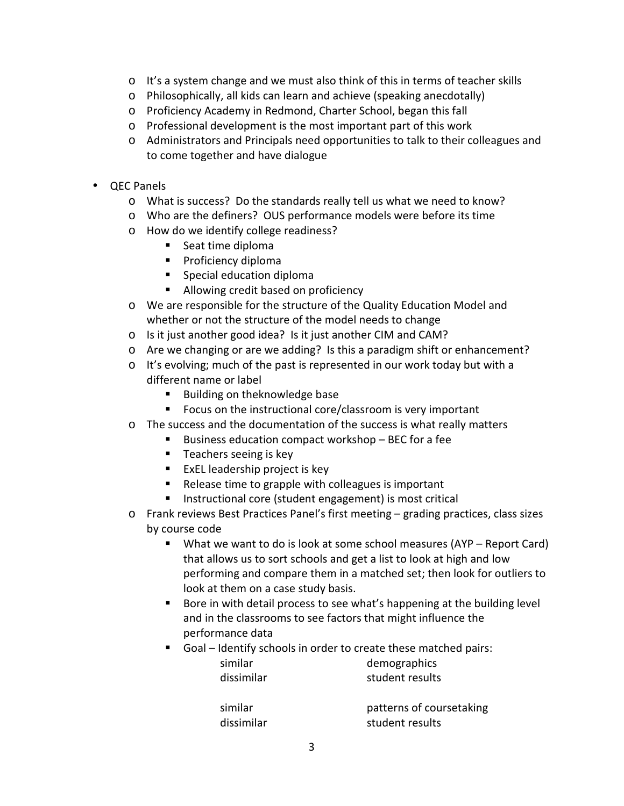- o It's a system change and we must also think of this in terms of teacher skills
- o Philosophically, all kids can learn and achieve (speaking anecdotally)
- o Proficiency Academy in Redmond, Charter School, began this fall
- o Professional development is the most important part of this work
- o Administrators and Principals need opportunities to talk to their colleagues and to come together and have dialogue
- QEC Panels
	- o What is success? Do the standards really tell us what we need to know?
	- o Who are the definers? OUS performance models were before its time
	- o How do we identify college readiness?
		- Seat time diploma
		- **Proficiency diploma**
		- **Special education diploma**
		- Allowing credit based on proficiency
	- o We are responsible for the structure of the Quality Education Model and whether or not the structure of the model needs to change
	- o Is it just another good idea? Is it just another CIM and CAM?
	- o Are we changing or are we adding? Is this a paradigm shift or enhancement?
	- o It's evolving; much of the past is represented in our work today but with a different name or label
		- Building on theknowledge base
		- **FICUM** Focus on the instructional core/classroom is very important
	- o The success and the documentation of the success is what really matters
		- Business education compact workshop BEC for a fee
		- $\blacksquare$  Teachers seeing is key
		- $\blacksquare$  ExEL leadership project is key
		- Release time to grapple with colleagues is important
		- **Instructional core (student engagement) is most critical**
	- o Frank reviews Best Practices Panel's first meeting grading practices, class sizes by course code
		- What we want to do is look at some school measures (AYP Report Card) that allows us to sort schools and get a list to look at high and low performing and compare them in a matched set; then look for outliers to look at them on a case study basis.
		- Bore in with detail process to see what's happening at the building level and in the classrooms to see factors that might influence the performance data
		- Goal Identify schools in order to create these matched pairs:

| similar    |  |
|------------|--|
| dissimilar |  |

demographics student results

dissimilar student results

similar patterns of coursetaking